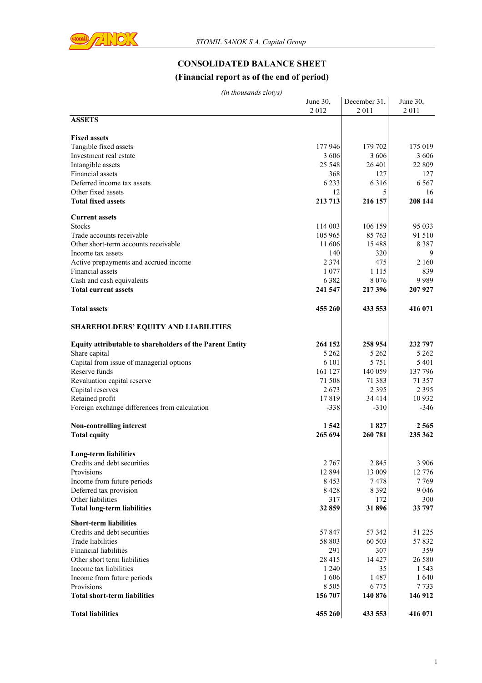

# **CONSOLIDATED BALANCE SHEET**

### **(Financial report as of the end of period)**

|                                                                 | June 30, | December 31, | June 30,       |
|-----------------------------------------------------------------|----------|--------------|----------------|
|                                                                 | 2012     | 2011         | 2011           |
| <b>ASSETS</b>                                                   |          |              |                |
| <b>Fixed assets</b>                                             |          |              |                |
| Tangible fixed assets                                           | 177 946  | 179 702      | 175 019        |
| Investment real estate                                          | 3 606    | 3606         | 3 606          |
|                                                                 | 25 5 48  | 26 401       | 22 809         |
| Intangible assets<br>Financial assets                           | 368      | 127          |                |
| Deferred income tax assets                                      | 6 2 3 3  | 6 3 1 6      | 127<br>6 5 6 7 |
|                                                                 |          |              |                |
| Other fixed assets                                              | 12       | 5            | 16<br>208 144  |
| <b>Total fixed assets</b>                                       | 213 713  | 216 157      |                |
| <b>Current assets</b>                                           |          |              |                |
| <b>Stocks</b>                                                   | 114 003  | 106 159      | 95 033         |
| Trade accounts receivable                                       | 105 965  | 85 763       | 91 510         |
| Other short-term accounts receivable                            | 11 606   | 15 488       | 8 3 8 7        |
| Income tax assets                                               | 140      | 320          | 9              |
| Active prepayments and accrued income                           | 2 3 7 4  | 475          | 2 1 6 0        |
| Financial assets                                                | 1 0 7 7  | 1 1 1 5      | 839            |
| Cash and cash equivalents                                       | 6 3 8 2  | 8 0 7 6      | 9989           |
| <b>Total current assets</b>                                     | 241 547  | 217 396      | 207 927        |
|                                                                 |          |              |                |
| <b>Total assets</b>                                             | 455 260  | 433 553      | 416 071        |
| <b>SHAREHOLDERS' EQUITY AND LIABILITIES</b>                     |          |              |                |
|                                                                 |          |              |                |
| <b>Equity attributable to shareholders of the Parent Entity</b> | 264 152  | 258 954      | 232 797        |
| Share capital                                                   | 5 2 6 2  | 5 2 6 2      | 5 2 6 2        |
| Capital from issue of managerial options                        | 6 1 0 1  | 5 7 5 1      | 5 4 0 1        |
| Reserve funds                                                   | 161 127  | 140 059      | 137 796        |
| Revaluation capital reserve                                     | 71 508   | 71 383       | 71 357         |
| Capital reserves                                                | 2673     | 2 3 9 5      | 2 3 9 5        |
| Retained profit                                                 | 17819    | 34 4 14      | 10 932         |
| Foreign exchange differences from calculation                   | $-338$   | $-310$       | $-346$         |
|                                                                 |          |              |                |
| Non-controlling interest                                        | 1 5 4 2  | 1827         | 2565           |
| <b>Total equity</b>                                             | 265 694  | 260 781      | 235 362        |
|                                                                 |          |              |                |
| <b>Long-term liabilities</b>                                    |          |              |                |
| Credits and debt securities                                     | 2 7 6 7  | 2 8 4 5      | 3 906          |
| Provisions                                                      | 12 8 9 4 | 13 009       | 12 776         |
| Income from future periods                                      | 8 4 5 3  | 7478         | 7769           |
| Deferred tax provision                                          | 8428     | 8 3 9 2      | 9 0 4 6        |
| Other liabilities                                               | 317      | 172          | 300            |
| <b>Total long-term liabilities</b>                              | 32 859   | 31896        | 33 797         |
| <b>Short-term liabilities</b>                                   |          |              |                |
| Credits and debt securities                                     | 57 847   | 57 342       | 51 225         |
| Trade liabilities                                               | 58 803   | 60 503       | 57832          |
| <b>Financial liabilities</b>                                    | 291      | 307          | 359            |
| Other short term liabilities                                    | 28 415   | 14 427       | 26 580         |
| Income tax liabilities                                          | 1 2 4 0  | 35           | 1 5 4 3        |
| Income from future periods                                      | 1606     | 1487         | 1640           |
| Provisions                                                      | 8 5 0 5  | 6 7 7 5      | 7733           |
| <b>Total short-term liabilities</b>                             | 156 707  | 140 876      | 146 912        |
|                                                                 |          |              |                |
| <b>Total liabilities</b>                                        | 455 260  | 433 553      | 416 071        |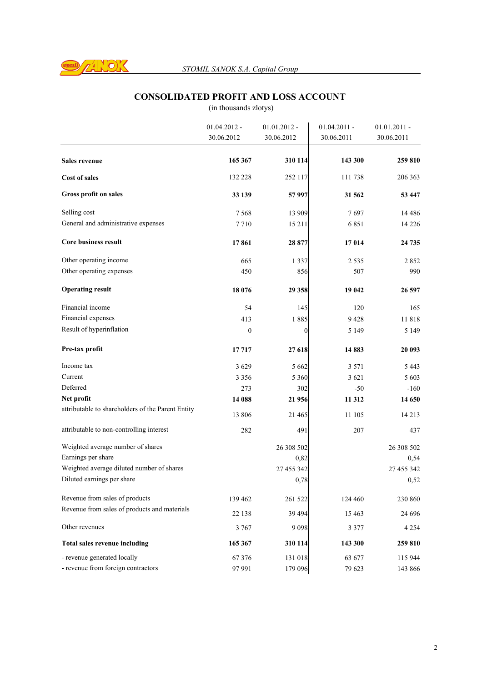

### **CONSOLIDATED PROFIT AND LOSS ACCOUNT**

|                                                   | $01.04.2012 -$   | $01.01.2012 -$ | $01.04.2011 -$ | $01.01.2011 -$ |
|---------------------------------------------------|------------------|----------------|----------------|----------------|
|                                                   | 30.06.2012       | 30.06.2012     | 30.06.2011     | 30.06.2011     |
| Sales revenue                                     | 165 367          | 310 114        | 143 300        | 259 810        |
| <b>Cost of sales</b>                              | 132 228          | 252 117        | 111738         | 206 363        |
| Gross profit on sales                             | 33 139           | 57 997         | 31 562         | 53 447         |
| Selling cost                                      | 7 5 6 8          | 13 909         | 7 697          | 14 4 8 6       |
| General and administrative expenses               | 7710             | 15 211         | 6851           | 14 2 2 6       |
| <b>Core business result</b>                       | 17861            | 28 877         | 17014          | 24 735         |
| Other operating income                            | 665              | 1 3 3 7        | 2 5 3 5        | 2852           |
| Other operating expenses                          | 450              | 856            | 507            | 990            |
| <b>Operating result</b>                           | 18 076           | 29 358         | 19 042         | 26 597         |
| Financial income                                  | 54               | 145            | 120            | 165            |
| Financial expenses                                | 413              | 1885           | 9428           | 11818          |
| Result of hyperinflation                          | $\boldsymbol{0}$ | $\theta$       | 5 1 4 9        | 5 1 4 9        |
| Pre-tax profit                                    | 17717            | 27 618         | 14883          | 20 093         |
| Income tax                                        | 3629             | 5 6 6 2        | 3 5 7 1        | 5 443          |
| Current                                           | 3 3 5 6          | 5 3 6 0        | 3 6 2 1        | 5 603          |
| Deferred                                          | 273              | 302            | $-50$          | $-160$         |
| Net profit                                        | 14 088           | 21 956         | 11 312         | 14 650         |
| attributable to shareholders of the Parent Entity | 13 806           | 21 4 65        | 11 105         | 14 2 13        |
| attributable to non-controlling interest          | 282              | 491            | 207            | 437            |
| Weighted average number of shares                 |                  | 26 308 502     |                | 26 308 502     |
| Earnings per share                                |                  | 0,82           |                | 0,54           |
| Weighted average diluted number of shares         |                  | 27 455 342     |                | 27 455 342     |
| Diluted earnings per share                        |                  | 0,78           |                | 0,52           |
| Revenue from sales of products                    | 139 462          | 261 522        | 124 460        | 230 860        |
| Revenue from sales of products and materials      | 22 138           | 39 4 94        | 15 4 63        | 24 69 6        |
| Other revenues                                    | 3 7 6 7          | 9098           | 3 3 7 7        | 4 2 5 4        |
| Total sales revenue including                     | 165 367          | 310 114        | 143 300        | 259 810        |
| - revenue generated locally                       | 67376            | 131 018        | 63 677         | 115 944        |
| - revenue from foreign contractors                | 97 991           | 179 096        | 79 623         | 143 866        |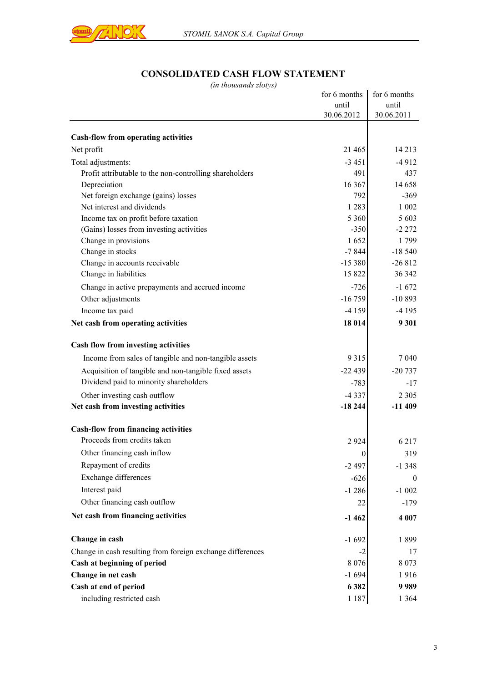

## **CONSOLIDATED CASH FLOW STATEMENT**

| $1100$ <i>usunus</i> 2101 $y$ s                            | for 6 months     | for 6 months |
|------------------------------------------------------------|------------------|--------------|
|                                                            | until            | until        |
|                                                            | 30.06.2012       | 30.06.2011   |
| <b>Cash-flow from operating activities</b>                 |                  |              |
| Net profit                                                 | 21 4 65          | 14 2 13      |
| Total adjustments:                                         | $-3451$          | $-4912$      |
| Profit attributable to the non-controlling shareholders    | 491              | 437          |
| Depreciation                                               | 16 367           | 14 658       |
| Net foreign exchange (gains) losses                        | 792              | $-369$       |
| Net interest and dividends                                 | 1 2 8 3          | 1 0 0 2      |
| Income tax on profit before taxation                       | 5 3 6 0          | 5 6 0 3      |
| (Gains) losses from investing activities                   | $-350$           | $-2272$      |
| Change in provisions                                       | 1652             | 1799         |
| Change in stocks                                           | $-7844$          | $-18540$     |
| Change in accounts receivable                              | $-15380$         | $-26812$     |
| Change in liabilities                                      | 15 822           | 36 342       |
| Change in active prepayments and accrued income            | $-726$           | $-1672$      |
| Other adjustments                                          | $-16759$         | $-10893$     |
| Income tax paid                                            | $-4159$          | -4 195       |
| Net cash from operating activities                         | 18 014           | 9 3 0 1      |
| Cash flow from investing activities                        |                  |              |
| Income from sales of tangible and non-tangible assets      | 9 3 1 5          | 7 0 4 0      |
| Acquisition of tangible and non-tangible fixed assets      | $-22439$         | $-20737$     |
| Dividend paid to minority shareholders                     | $-783$           | $-17$        |
| Other investing cash outflow                               | $-4337$          | 2 3 0 5      |
| Net cash from investing activities                         | $-18244$         | $-11409$     |
| <b>Cash-flow from financing activities</b>                 |                  |              |
| Proceeds from credits taken                                | 2924             | 6 2 1 7      |
| Other financing cash inflow                                | $\boldsymbol{0}$ | 319          |
| Repayment of credits                                       | $-2497$          | $-1348$      |
| Exchange differences                                       | $-626$           | $\theta$     |
| Interest paid                                              | $-1286$          | $-1002$      |
| Other financing cash outflow                               |                  |              |
|                                                            | 22               | $-179$       |
| Net cash from financing activities                         | $-1462$          | 4 0 0 7      |
| Change in cash                                             | $-1692$          | 1899         |
| Change in cash resulting from foreign exchange differences | -2               | 17           |
| Cash at beginning of period                                | 8 0 7 6          | 8 0 7 3      |
| Change in net cash                                         | $-1694$          | 1916         |
| Cash at end of period                                      | 6 3 8 2          | 9989         |
| including restricted cash                                  | 1 1 8 7          | 1 3 6 4      |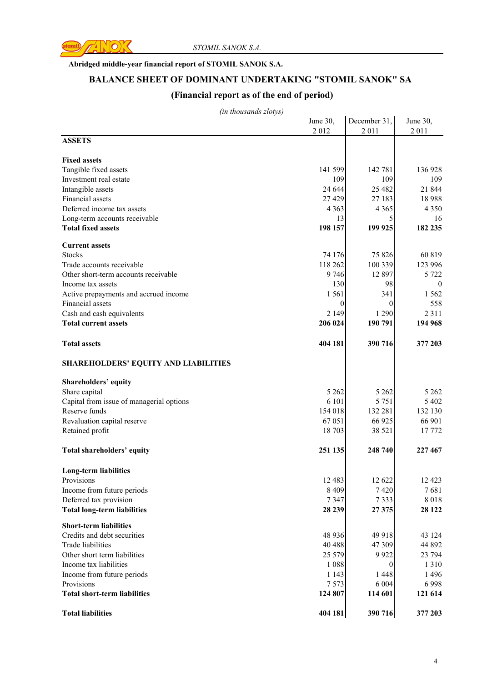

#### **Abridged middle-year financial report of STOMIL SANOK S.A.**

#### **BALANCE SHEET OF DOMINANT UNDERTAKING "STOMIL SANOK" SA**

### **(Financial report as of the end of period)**

|                                             | June 30, | December 31,   | June 30,     |
|---------------------------------------------|----------|----------------|--------------|
|                                             | 2012     | 2011           | 2011         |
| <b>ASSETS</b>                               |          |                |              |
|                                             |          |                |              |
| <b>Fixed assets</b>                         |          |                |              |
| Tangible fixed assets                       | 141 599  | 142 781        | 136 928      |
| Investment real estate                      | 109      | 109            | 109          |
| Intangible assets                           | 24 644   | 25 4 82        | 21 844       |
| Financial assets                            | 27 4 29  | 27 183         | 18988        |
| Deferred income tax assets                  | 4 3 6 3  | 4 3 6 5        | 4 3 5 0      |
| Long-term accounts receivable               | 13       | 5              | 16           |
| <b>Total fixed assets</b>                   | 198 157  | 199 925        | 182 235      |
| <b>Current assets</b>                       |          |                |              |
| <b>Stocks</b>                               | 74 176   | 75 826         | 60 819       |
| Trade accounts receivable                   | 118 262  | 100 339        | 123 996      |
| Other short-term accounts receivable        | 9 7 4 6  | 12 897         | 5 7 2 2      |
| Income tax assets                           | 130      | 98             | $\mathbf{0}$ |
| Active prepayments and accrued income       | 1 5 6 1  | 341            | 1 5 6 2      |
| Financial assets                            | 0        | $\theta$       | 558          |
| Cash and cash equivalents                   | 2 1 4 9  | 1 2 9 0        | 2 3 1 1      |
| <b>Total current assets</b>                 | 206 024  | 190 791        | 194 968      |
|                                             |          |                |              |
| <b>Total assets</b>                         | 404 181  | 390 716        | 377 203      |
| <b>SHAREHOLDERS' EQUITY AND LIABILITIES</b> |          |                |              |
| Shareholders' equity                        |          |                |              |
| Share capital                               | 5 2 6 2  | 5 2 6 2        | 5 2 6 2      |
| Capital from issue of managerial options    | 6 101    | 5 7 5 1        | 5 4 0 2      |
| Reserve funds                               | 154 018  | 132 281        | 132 130      |
| Revaluation capital reserve                 | 67 051   | 66 925         | 66 901       |
| Retained profit                             | 18 703   | 38 5 21        | 17772        |
|                                             |          |                |              |
| Total shareholders' equity                  | 251 135  | 248 740        | 227 467      |
| <b>Long-term liabilities</b>                |          |                |              |
| Provisions                                  | 12 4 8 3 | 12 622         | 12 4 23      |
| Income from future periods                  | 8 4 0 9  | 7420           | 7681         |
| Deferred tax provision                      | 7347     | 7333           | 8018         |
| <b>Total long-term liabilities</b>          | 28 239   | 27375          | 28 1 22      |
|                                             |          |                |              |
| <b>Short-term liabilities</b>               |          |                |              |
| Credits and debt securities                 | 48 9 36  | 49 918         | 43 124       |
| <b>Trade liabilities</b>                    | 40 488   | 47 309         | 44 892       |
| Other short term liabilities                | 25 5 7 9 | 9922           | 23 794       |
| Income tax liabilities                      | 1 0 8 8  | $\overline{0}$ | 1310         |
| Income from future periods                  | 1 1 4 3  | 1 4 4 8        | 1496         |
| Provisions                                  | 7573     | 6 0 0 4        | 6998         |
| <b>Total short-term liabilities</b>         | 124 807  | 114 601        | 121 614      |
| <b>Total liabilities</b>                    | 404 181  | 390 716        | 377 203      |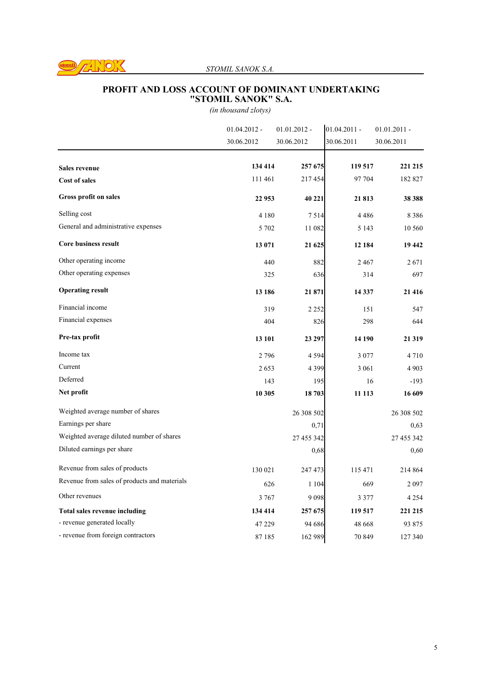

#### *STOMIL SANOK S.A.*

#### **PROFIT AND LOSS ACCOUNT OF DOMINANT UNDERTAKING "STOMIL SANOK" S.A.**

|                                              | $01.04.2012 -$ | $01.01.2012 -$ | $01.04.2011 -$ | $01.01.2011 -$ |
|----------------------------------------------|----------------|----------------|----------------|----------------|
|                                              | 30.06.2012     | 30.06.2012     | 30.06.2011     | 30.06.2011     |
|                                              | 134 414        | 257 675        | 119 517        | 221 215        |
| <b>Sales revenue</b>                         |                |                |                |                |
| <b>Cost of sales</b>                         | 111 461        | 217454         | 97 704         | 182 827        |
| Gross profit on sales                        | 22 953         | 40 221         | 21813          | 38 388         |
| Selling cost                                 | 4 1 8 0        | 7514           | 4486           | 8 3 8 6        |
| General and administrative expenses          | 5 7 0 2        | 11 082         | 5 1 4 3        | 10 560         |
| <b>Core business result</b>                  | 13 071         | 21 625         | 12 184         | 19 442         |
| Other operating income                       | 440            | 882            | 2467           | 2671           |
| Other operating expenses                     | 325            | 636            | 314            | 697            |
| <b>Operating result</b>                      | 13 18 6        | 21 871         | 14 3 37        | 21 416         |
| Financial income                             | 319            | 2 2 5 2        | 151            | 547            |
| Financial expenses                           | 404            | 826            | 298            | 644            |
| Pre-tax profit                               | 13 101         | 23 297         | 14 190         | 21 319         |
| Income tax                                   | 2796           | 4 5 9 4        | 3 0 7 7        | 4710           |
| Current                                      | 2653           | 4 3 9 9        | 3 0 6 1        | 4 9 0 3        |
| Deferred                                     | 143            | 195            | 16             | $-193$         |
| Net profit                                   | 10 30 5        | 18 703         | 11 113         | 16 609         |
| Weighted average number of shares            |                | 26 308 502     |                | 26 308 502     |
| Earnings per share                           |                | 0,71           |                | 0,63           |
| Weighted average diluted number of shares    |                | 27 455 342     |                | 27 455 342     |
| Diluted earnings per share                   |                | 0,68           |                | 0,60           |
| Revenue from sales of products               | 130 021        | 247 473        | 115 471        | 214 864        |
| Revenue from sales of products and materials | 626            | 1 1 0 4        | 669            | 2097           |
| Other revenues                               | 3 7 6 7        | 9098           | 3 3 7 7        | 4 2 5 4        |
| <b>Total sales revenue including</b>         | 134 414        | 257 675        | 119 517        | 221 215        |
| - revenue generated locally                  | 47 229         | 94 68 6        | 48 668         | 93 875         |
| - revenue from foreign contractors           | 87185          | 162 989        | 70 849         | 127 340        |